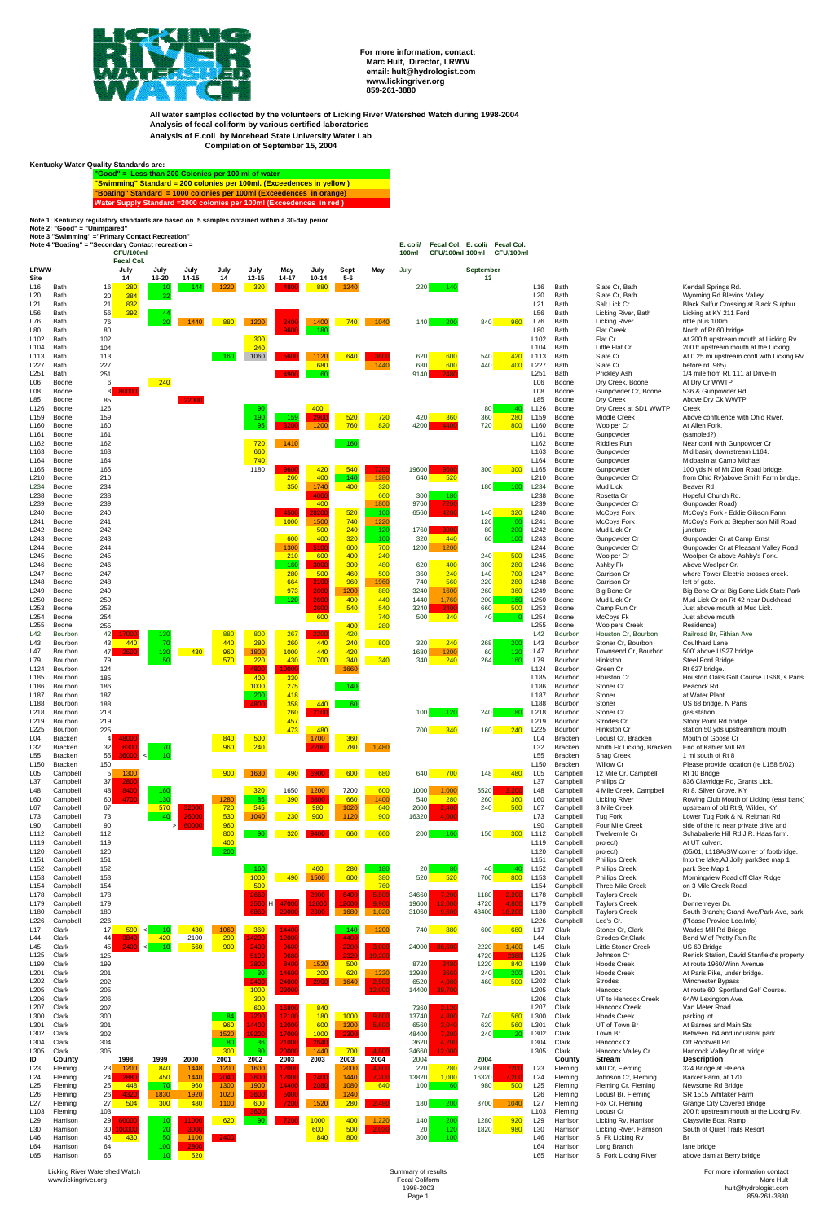

**For more information, contact: Marc Hult, Director, LRWW email: hult@hydrologist.com www.lickingriver.org 859-261-3880**

**All water samples collected by the volunteers of Licking River Watershed Watch during 1998-2004 Analysis of fecal coliform by various certified laboratories Analysis of E.coli by Morehead State University Water Lab Compilation of September 15, 2004**

**Kentucky Water Quality Standards are:**

**"Good" = Less than 200 Colonies per 100 ml of water "Swimming" Standard = 200 colonies per 100ml. (Exceedences in yellow ) "Boating" Standard = 1000 colonies per 100ml (Exceedences in orange) Water Supply Standard =2000 colonies per 100ml (Exceedences in red )**

**Note 1: Kentucky regulatory standards are based on 5 samples obtained within a 30-day period**

**Note 2: "Good" = "Unimpaired"**

| Note 3 "Swimming" = "Primary Contact Recreation" |  |
|--------------------------------------------------|--|
|--------------------------------------------------|--|

| Note 4 "Boating" = "Secondary Contact recreation =<br>CFU/100ml |                           |                          |        |                 |                             |               |                                 |               |               |                         | E. coli/<br>100ml | Fecal Col. E. coli/<br><b>CFU/100ml 100ml</b> | Fecal Col.<br>CFU/100ml          |                          |                                  |                                                 |                                                                                     |
|-----------------------------------------------------------------|---------------------------|--------------------------|--------|-----------------|-----------------------------|---------------|---------------------------------|---------------|---------------|-------------------------|-------------------|-----------------------------------------------|----------------------------------|--------------------------|----------------------------------|-------------------------------------------------|-------------------------------------------------------------------------------------|
| LRWW                                                            |                           | Fecal Col.<br>July       |        | July<br>July    | July                        | July          | May                             | July          | <b>Sept</b>   | May                     | July              |                                               | <b>September</b>                 |                          |                                  |                                                 |                                                                                     |
| <b>Site</b>                                                     |                           | 14                       |        | 16-20<br>14-15  | 14                          | $12 - 15$     | 14-17                           | $10 - 14$     | $5-6$         |                         |                   |                                               | 13                               |                          |                                  |                                                 |                                                                                     |
| L <sub>16</sub><br>L20                                          | Bath<br>Bath              | 16<br>280<br>384<br>20   |        | 10<br>32        | -144<br>1220                | 320           | 4800                            | 880           | 1240          |                         | 220               | 140                                           |                                  | L <sub>16</sub><br>L20   | Bath<br>Bath                     | Slate Cr. Bath<br>Slate Cr, Bath                | Kendall Springs Rd.<br>Wyoming Rd Blevins Valley                                    |
| L21                                                             | Bath                      | 832<br>21                |        |                 |                             |               |                                 |               |               |                         |                   |                                               |                                  | L21                      | Bath                             | Salt Lick Cr.                                   | Black Sulfur Crossing at Black Sulphur.                                             |
| L <sub>56</sub><br>L76                                          | Bath<br>Bath              | 392<br>56<br>76          |        | 20              | 880<br>1440                 | 1200          | 2400                            | 1400          | 740           | 1040                    | 140               | 200                                           | 840<br>960                       | L <sub>56</sub><br>L76   | Bath<br>Bath                     | Licking River, Bath<br><b>Licking River</b>     | Licking at KY 211 Ford<br>riffle plus 100m.                                         |
| L80                                                             | Bath                      | 80                       |        |                 |                             |               | 9600                            | 180           |               |                         |                   |                                               |                                  | L80                      | Bath                             | <b>Flat Creek</b>                               | North of Rt 60 bridge                                                               |
| L <sub>102</sub>                                                | Bath<br>Bath              | 102<br>104               |        |                 |                             | 300<br>240    |                                 |               |               |                         |                   |                                               |                                  | L102<br>L104             | Bath<br>Bath                     | Flat Cr<br>Little Flat Cr                       | At 200 ft upstream mouth at Licking Rv                                              |
| L <sub>104</sub><br>L113                                        | Bath                      | 113                      |        |                 | 160                         | 1060          | 5600                            | 1120          | 640           | 360                     | 620               | 600                                           | 540<br>420                       | L113                     | Bath                             | Slate Cr                                        | 200 ft upstream mouth at the Licking.<br>At 0.25 mi upstream confl with Licking Rv. |
| L227                                                            | Bath                      | 227                      |        |                 |                             |               |                                 | 680           |               | 1440                    | 680               | 600                                           | 440<br>400                       | L227                     | Bath                             | Slate Cr                                        | before rd. 965)                                                                     |
| L251<br>L06                                                     | Bath<br>Boone             | 251<br>6                 |        | 240             |                             |               | 4900                            | 60            |               |                         | 9140              | 2480                                          |                                  | L251<br>L06              | Bath<br>Boone                    | <b>Prickley Ash</b><br>Dry Creek, Boone         | 1/4 mile from Rt. 111 at Drive-In<br>At Dry Cr WWTP                                 |
| L <sub>08</sub>                                                 | Boone                     | 8<br>8000                |        |                 |                             |               |                                 |               |               |                         |                   |                                               |                                  | L08                      | Boone                            | Gunpowder Cr, Boone                             | 536 & Gunpowder Rd                                                                  |
| L85                                                             | Boone                     | 85                       |        |                 | 22000                       |               |                                 |               |               |                         |                   |                                               |                                  | L85                      | Boone                            | Dry Creek                                       | Above Dry Ck WWTP                                                                   |
| L <sub>126</sub><br>L <sub>159</sub>                            | Boone<br>Boone            | 126<br>159               |        |                 |                             | 90<br>190     | 159                             | 400<br>290    | 520           | 720                     | 420               | 360                                           | <b>80</b><br>-40<br>360<br>280   | L126<br>L159             | Boone<br>Boone                   | Dry Creek at SD1 WWTP<br><b>Middle Creek</b>    | Creek<br>Above confluence with Ohio River.                                          |
| L <sub>160</sub>                                                | Boone                     | 160                      |        |                 |                             | 95            | 3200                            | 1200          | 760           | 820                     | 4200              | 4400                                          | 720<br>800                       | L <sub>160</sub>         | Boone                            | Woolper Cr                                      | At Allen Fork.                                                                      |
| L <sub>161</sub>                                                | Boone                     | 161                      |        |                 |                             |               |                                 |               |               |                         |                   |                                               |                                  | L <sub>161</sub>         | Boone                            | Gunpowder                                       | (sampled?)                                                                          |
| L <sub>162</sub><br>L <sub>163</sub>                            | Boone<br>Boone            | 162<br>163               |        |                 |                             | 720<br>660    | 1410                            |               | 160           |                         |                   |                                               |                                  | L <sub>162</sub><br>L163 | Boone<br>Boone                   | <b>Riddles Run</b><br>Gunpowder                 | Near confl with Gunpowder Cr<br>Mid basin; downstream L164.                         |
| L <sub>164</sub>                                                | Boone                     | 164                      |        |                 |                             | 740           |                                 |               |               |                         |                   |                                               |                                  | L164                     | Boone                            | Gunpowder                                       | Midbasin at Camp Michael                                                            |
| L <sub>165</sub><br>L <sub>210</sub>                            | Boone<br>Boone            | 165<br>210               |        |                 |                             | 1180          | 9600<br>260                     | 420<br>400    | 540<br>140    | 7200<br>1280            | 19600<br>640      | 9600<br>520                                   | 300<br>300                       | L165<br>L210             | Boone<br>Boone                   | Gunpowder<br>Gunpowder Cr                       | 100 yds N of Mt Zion Road bridge.<br>from Ohio Rv)above Smith Farm bridge.          |
| L234                                                            | Boone                     | 234                      |        |                 |                             |               | 350                             | 1740          | 400           | 320                     |                   |                                               | <b>180</b><br>160                | L234                     | Boone                            | Mud Lick                                        | Beaver Rd                                                                           |
| L <sub>238</sub>                                                | Boone                     | 238                      |        |                 |                             |               |                                 | 4000          |               | 660                     | 300               | 180                                           |                                  | L238                     | Boone                            | Rosetta Cr                                      | Hopeful Church Rd.                                                                  |
| L239<br>L <sub>240</sub>                                        | Boone<br>Boone            | 239<br>240               |        |                 |                             |               | 4500                            | 400<br>28200  | 520           | 1800<br>10 <sup>C</sup> | 9760<br>6560      | 7200<br>4200                                  | 140<br>320                       | L239<br>L240             | Boone<br>Boone                   | Gunpowder Cr<br><b>McCoys Fork</b>              | Gunpowder Road)<br>McCoy's Fork - Eddie Gibson Farm                                 |
| L <sub>241</sub>                                                | Boone                     | 241                      |        |                 |                             |               | 1000                            | 1500          | 740           | 1220                    |                   |                                               | 126<br>60                        | L241                     | Boone                            | <b>McCoys Fork</b>                              | McCoy's Fork at Stephenson Mill Road                                                |
| L242                                                            | Boone                     | 242                      |        |                 |                             |               |                                 | 500           | 240           | 120                     | 1760              | 3000                                          | 80<br>200                        | L242                     | Boone                            | Mud Lick Cr                                     | juncture                                                                            |
| L243<br>L <sub>244</sub>                                        | Boone<br>Boone            | 243<br>244               |        |                 |                             |               | 600<br>1300                     | 400<br>5100   | 320<br>600    | 10 <sup>c</sup><br>700  | 320<br>1200       | 440<br>1200                                   | 60<br>100                        | L243<br>L244             | Boone<br>Boone                   | Gunpowder Cr<br>Gunpowder Cr                    | Gunpowder Cr at Camp Ernst<br>Gunpowder Cr at Pleasant Valley Road                  |
| L <sub>245</sub>                                                | Boone                     | 245                      |        |                 |                             |               | 210                             | 600           | 400           | 240                     |                   |                                               | 240<br>500                       | L245                     | Boone                            | Woolper Cr                                      | Woolper Cr above Ashby's Fork.                                                      |
| L246                                                            | Boone                     | 246                      |        |                 |                             |               | 160                             | 3000          | 300           | 480                     | 620               | 400                                           | 300<br>280                       | L246                     | Boone                            | Ashby Fk                                        | Above Woolper Cr.                                                                   |
| L <sub>247</sub><br>L248                                        | Boone<br>Boone            | 247<br>248               |        |                 |                             |               | 280<br>664                      | 500<br>2100   | 460<br>960    | 500<br>1960             | 360<br>740        | 240<br>560                                    | 700<br>140<br>280<br>220         | L247<br>L248             | Boone<br>Boone                   | Garrison Cr<br>Garrison Cr                      | where Tower Electric crosses creek.<br>left of gate.                                |
| L <sub>249</sub>                                                | Boone                     | 249                      |        |                 |                             |               | 973                             | 2600          | 1200          | 880                     | 3240              | 1600                                          | 360<br>260                       | L249                     | Boone                            | Big Bone Cr                                     | Big Bone Cr at Big Bone Lick State Park                                             |
| L <sub>250</sub>                                                | Boone                     | 250                      |        |                 |                             |               | 120                             | 2600          | 400           | 440                     | 1440              | 1,760                                         | <b>200</b><br>160                | L250                     | Boone                            | Mud Lick Cr                                     | Mud Lick Cr on Rt 42 near Duckhead                                                  |
| L <sub>253</sub><br>L254                                        | Boone<br>Boone            | 253<br>254               |        |                 |                             |               |                                 | 2600<br>600   | 540           | 540<br>740              | 3240<br>500       | 2400<br>340                                   | 660<br>500<br>40 <sup>°</sup>    | L253<br>L254             | Boone<br>Boone                   | Camp Run Cr<br>McCoys Fk                        | Just above mouth at Mud Lick.<br>Just above mouth                                   |
| L255                                                            | Boone                     | 255                      |        |                 |                             |               |                                 |               | 400           | 280                     |                   |                                               |                                  | L255                     | Boone                            | <b>Woolpers Creek</b>                           | Residence)                                                                          |
| L42<br>L43                                                      | Bourbon<br>Bourbon        | 42<br>43                 |        | 130<br>70       | 880<br>440                  | 800<br>280    | 267<br>260                      | 2200<br>440   | 420<br>240    | 800                     | 320               |                                               | 268                              | L42<br>L43               | Bourbon<br>Bourbon               | Houston Cr, Bourbon<br>Stoner Cr, Bourbon       | Railroad Br, Fithian Ave<br><b>Coulthard Lane</b>                                   |
| L47                                                             | Bourbon                   | 440<br>47<br>250         |        | 130             | 960<br>430                  | 1800          | 1000                            | 440           | 420           |                         | 1680              | 1200                                          | 60<br>120                        | L47                      | Bourbon                          | Townsend Cr. Bourbon                            | 500' above US27 bridge                                                              |
| L79                                                             | Bourbon                   | 79                       |        | 50              | 570                         | 220           | 430                             | 700           | 340           | 340                     | 340               | 240                                           | 264<br>160                       | L79                      | Bourbon                          | Hinkston                                        | <b>Steel Ford Bridge</b>                                                            |
| L124<br>L <sub>185</sub>                                        | Bourbon<br>Bourbon        | 124<br>185               |        |                 |                             | 4800<br>400   | 10000<br>330                    |               | 1660          |                         |                   |                                               |                                  | L124<br>L185             | Bourbon<br>Bourbon               | Green Cr<br>Houston Cr.                         | Rt 627 bridge.<br>Houston Oaks Golf Course US68, s Paris                            |
| L186                                                            | Bourbon                   | 186                      |        |                 |                             | 1000          | 275                             |               | 140           |                         |                   |                                               |                                  | L186                     | Bourbon                          | Stoner Cr                                       | Peacock Rd.                                                                         |
| L <sub>187</sub>                                                | Bourbon                   | 187                      |        |                 |                             | 200           | 418                             |               |               |                         |                   |                                               |                                  | L187                     | Bourbon                          | Stoner                                          | at Water Plant                                                                      |
| L188<br>L218                                                    | Bourbon<br>Bourbon        | 188<br>218               |        |                 |                             | 4800          | 358<br>260                      | 440<br>2100   | 60            |                         | 100               | 120                                           | 240<br>-80                       | L188<br>L218             | Bourbon<br>Bourbon               | Stoner<br>Stoner Cr                             | US 68 bridge, N Paris<br>gas station.                                               |
| L219                                                            | Bourbon                   | 219                      |        |                 |                             |               | 457                             |               |               |                         |                   |                                               |                                  | L219                     | Bourbon                          | Strodes Cr                                      | Stony Point Rd bridge.                                                              |
| L225                                                            | Bourbon                   | 225                      |        |                 |                             |               | 473                             | 480           |               |                         | 700               | 340                                           | 240<br>160                       | L225                     | Bourbon                          | Hinkston Cr                                     | station;50 yds upstreamfrom mouth                                                   |
| L <sub>04</sub><br>L32                                          | <b>Bracken</b><br>Bracken | 4<br>4800<br>32<br>630   |        | 70              | 840<br>960                  | 500<br>240    |                                 | 1700<br>2200  | 360<br>780    | 1,480                   |                   |                                               |                                  | L <sub>04</sub><br>L32   | <b>Bracken</b><br><b>Bracken</b> | Locust Cr. Bracken<br>North Fk Licking, Bracken | Mouth of Goose Cr<br>End of Kabler Mill Rd                                          |
| L <sub>55</sub>                                                 | <b>Bracken</b>            | 55<br>3600               | $\leq$ | 10              |                             |               |                                 |               |               |                         |                   |                                               |                                  | L <sub>55</sub>          | <b>Bracken</b>                   | Snag Creek                                      | 1 mi south of Rt 8                                                                  |
| L <sub>150</sub>                                                | <b>Bracken</b>            | 150                      |        |                 |                             |               |                                 |               |               |                         |                   |                                               |                                  | L150                     | <b>Bracken</b>                   | Willow Cr                                       | Please provide location (re L158 5/02)                                              |
| L <sub>05</sub><br>L37                                          | Campbell<br>Campbell      | 5<br>1300<br>37<br>280   |        |                 | 900                         | 1630          | 490                             |               | 600           | 680                     | 640               | 700                                           | 148<br>480                       | L <sub>05</sub><br>L37   | Campbell<br>Campbell             | 12 Mile Cr, Campbell<br>Phillips Cr             | Rt 10 Bridge<br>836 Clayridge Rd, Grants Lick.                                      |
| L48                                                             | Campbell                  | 48<br>840                |        | 160             |                             | 320           | 1650                            | 1200          | 7200          | 600                     | 1000              | 1,000                                         | 5520<br>3.200                    | L48                      | Campbell                         | 4 Mile Creek, Campbell                          | Rt 8, Silver Grove, KY                                                              |
| L60<br>L67                                                      | Campbell<br>Campbell      | 470<br>60                |        | 130<br>570      | 1280<br>32000<br>720        | 85<br>545     | 390                             | 6800<br>980   | 660           | 1400                    | 540               | 280<br>2,400                                  | 360<br>260<br>560                | L60<br>L67               | Campbell<br>Campbell             | <b>Licking River</b><br>3 Mile Creek            | Rowing Club Mouth of Licking (east bank)<br>upstream of old Rt 9, Wilder, KY        |
| L73                                                             | Campbell                  | 67<br>73                 |        | 26000<br>40     | 530                         | 1040          | 230                             | 900           | 1020<br>1120  | 640<br>900              | 2600<br>16320     | 4.000                                         | 240                              | L73                      | Campbell                         | <b>Tug Fork</b>                                 | Lower Tug Fork & N. Reitman Rd                                                      |
| L90                                                             | Campbell                  | 90                       |        | 6000            | 960                         |               |                                 |               |               |                         |                   |                                               |                                  | L90                      | Campbell                         | Four Mile Creek                                 | side of the rd near private drive and                                               |
| L112<br>L <sub>119</sub>                                        | Campbell<br>Campbell      | 112<br>119               |        |                 | 800<br>400                  | -90.          | 320                             |               | 660           | 660                     | 200               | 160                                           | 150<br>300                       | L112<br>L119             | Campbell<br>Campbell             | <b>Twelvemile Cr</b><br>project)                | Schababerle Hill Rd, J.R. Haas farm.<br>At UT culvert.                              |
| L120                                                            | Campbell                  | 120                      |        |                 | 200                         |               |                                 |               |               |                         |                   |                                               |                                  | L120                     | Campbell                         | project)                                        | (05/01, L118A)SW corner of footbridge.                                              |
| L <sub>151</sub>                                                | Campbell                  | 151                      |        |                 |                             |               |                                 |               |               |                         |                   |                                               |                                  | L <sub>151</sub>         | Campbell                         | <b>Phillips Creek</b>                           | Into the lake, AJ Jolly parkSee map 1                                               |
| L <sub>152</sub><br>L <sub>153</sub>                            | Campbell<br>Campbell      | 152<br>153               |        |                 |                             | 160<br>1000   | 490                             | 460<br>1500   | 280<br>600    | 180<br>380              | 20<br>520         | -80<br>520                                    | 40<br>40<br>700<br>800           | L <sub>152</sub><br>L153 | Campbell<br>Campbell             | <b>Phillips Creek</b><br><b>Phillips Creek</b>  | park See Map 1<br>Morningview Road off Clay Ridge                                   |
| L <sub>154</sub>                                                | Campbell                  | 154                      |        |                 |                             | 500           |                                 |               |               | 760                     |                   |                                               |                                  | L154                     | Campbell                         | <b>Three Mile Creek</b>                         | on 3 Mile Creek Road                                                                |
| L <sub>178</sub>                                                | Campbell                  | 178                      |        |                 |                             | 2660          |                                 | 2900          | 6400          | 5,500                   | 34660             | 7,200                                         | 1180<br>2,200                    | L178                     | Campbell                         | <b>Taylors Creek</b>                            | Dr.                                                                                 |
| L179<br>L <sub>180</sub>                                        | Campbell<br>Campbell      | 179<br>180               |        |                 |                             | 2560<br>686   | H <sub>l</sub><br>47000<br>zanr | 12600<br>2300 | 12000<br>1680 | 9,900<br>1,020          | 19600<br>31060    | 12,000<br>9.600                               | 4720<br>4,800<br>48400<br>18.200 | L179<br>L <sub>180</sub> | Campbell<br>Campbell             | <b>Taylors Creek</b><br><b>Taylors Creek</b>    | Donnemeyer Dr.<br>South Branch; Grand Ave/Park Ave, park.                           |
| L226                                                            | Campbell                  | 226                      |        |                 |                             |               |                                 |               |               |                         |                   |                                               |                                  | L226                     | Campbell                         | Lee's Cr.                                       | (Please Provide Loc.Info)                                                           |
| L <sub>17</sub>                                                 | Clark                     | 17<br>590                |        | -10             | 430<br>1060                 | 360           | 14400                           |               | 140           | 1200                    | 740               | 880                                           | 680<br>600                       | L17                      | Clark                            | Stoner Cr, Clark                                | Wades Mill Rd Bridge                                                                |
| L44<br>L45                                                      | Clark<br>Clark            | 44<br>3840<br>45<br>2400 | $\leq$ | 420<br>10       | 2100<br>290<br>560<br>900   | 14200<br>2400 | 12000<br>9600                   |               | 4400<br>220   | 3,000                   | 24000             | 86.600                                        | 2220<br>1,400                    | L44<br>L45               | Clark<br>Clark                   | Strodes Cr.Clark<br><b>Little Stoner Creek</b>  | Bend W of Pretty Run Rd<br>US 60 Bridge                                             |
| L <sub>125</sub>                                                | Clark                     | 125                      |        |                 |                             | 5100          | 9680                            |               | 2320          | 19.200                  |                   |                                               | 4720<br>2360                     | L125                     | Clark                            | Johnson Cr                                      | Renick Station, David Stanfield's property                                          |
| L <sub>199</sub>                                                | Clark                     | 199                      |        |                 |                             | 3800          | 8400                            | 1520          | 500           |                         | 8720              | 3480                                          | 840<br>1220                      | L199                     | Clark                            | <b>Hoods Creek</b>                              | At route 1960/Winn Avenue                                                           |
| L201<br>L202                                                    | Clark<br>Clark            | 201<br>202               |        |                 |                             | 30<br>2400    | 14600<br>24000                  | 200<br>2900   | 620<br>1640   | 1220<br>2,500           | 12980<br>6520     | 3660<br>4,080                                 | 240<br>200<br>460<br>500         | L201<br>L202             | Clark<br>Clark                   | <b>Hoods Creek</b><br><b>Strodes</b>            | At Paris Pike, under bridge.<br><b>Winchester Bypass</b>                            |
| L205                                                            | Clark                     | 205                      |        |                 |                             | 1000          | 23000                           |               |               | 2.000                   | 14400             | 38.700                                        |                                  | L205                     | Clark                            | Hancock                                         | At route 60, Sportland Golf Course.                                                 |
| L <sub>206</sub>                                                | Clark                     | 206                      |        |                 |                             | 300           |                                 |               |               |                         |                   |                                               |                                  | L206                     | Clark                            | UT to Hancock Creek                             | 64/W Lexington Ave.                                                                 |
| L <sub>20</sub> 7<br>L300                                       | Clark<br>Clark            | 207<br>300               |        |                 | 84                          | 600<br>7200   | 16800<br>12100                  | 840<br>180    | 1000          | 9,600                   | 7360<br>13740     | 2,120<br>4,800                                | 740<br>560                       | L207<br>L300             | Clark<br>Clark                   | <b>Hancock Creek</b><br><b>Hoods Creek</b>      | Van Meter Road.<br>parking lot                                                      |
| L301                                                            | Clark                     | 301                      |        |                 | 960                         | 4400          | 12000                           | 600           | 1200          | 5.600                   | 6560              | 3,040                                         | 560<br>620                       | L301                     | Clark                            | UT of Town Br                                   | At Barnes and Main Sts                                                              |
| L302                                                            | Clark                     | 302                      |        |                 | 1520                        | 19200         | 17000                           | 1000          | 2300          |                         | 48400             | 7,200                                         | 240<br>20                        | L302                     | Clark                            | Town Br                                         | Between I64 and industrial park                                                     |
| L304<br>L305                                                    | Clark<br>Clark            | 304<br>305               |        |                 | -80<br>300                  | -36<br>80     | 21000<br>20000                  | 2640<br>1440  | 700           | 4,800                   | 3620<br>34660     | 4.200<br>12,000                               |                                  | L304<br>L305             | Clark<br>Clark                   | Hancock Cr<br>Hancock Valley Cr                 | Off Rockwell Rd<br>Hancock Valley Dr at bridge                                      |
| ID                                                              | County                    | 1998                     |        | 1999<br>2000    | 2001                        | 2002          | 2003                            | 2003          | 2003          | 2004                    | 2004              |                                               | 2004                             |                          | County                           | <b>Stream</b>                                   | <b>Description</b>                                                                  |
| L23                                                             | Fleming                   | 1200<br>23               |        | 840             | 1448<br>1200                | 1600          | 12000                           |               | 2000          | 4,800                   | 220               | 280                                           | 26000<br>7200                    | L23                      | Fleming                          | Mill Cr, Fleming                                | 324 Bridge at Helena                                                                |
| L24<br>L25                                                      | Fleming<br>Fleming        | 288<br>24<br>448<br>25   |        | 450<br>70       | 2040<br>1440<br>960<br>1300 | 3600<br>1900  | 12000<br>14400                  | 2400<br>2080  | 1440<br>1080  | 7,200<br>640            | 13820<br>100      | 1,000<br>60                                   | 16320<br>7,200<br>500<br>980     | L24<br>L25               | Fleming<br>Fleming               | Johnson Cr, Fleming<br>Fleming Cr, Fleming      | Barker Farm, at 170<br>Newsome Rd Bridge                                            |
| L26                                                             | Fleming                   | 4320<br>26               |        | 1830            | 1920<br>1020                | 3600          | 5000                            |               | 1240          |                         |                   |                                               |                                  | L26                      | Fleming                          | Locust Br, Fleming                              | SR 1515 Whitaker Farm                                                               |
| L27                                                             | Fleming                   | 27<br>504                |        | 300             | 480<br>1100                 | 600           | 7200                            | 1520          | 280           | 2,480                   | 180               | 200                                           | 3700<br>1040                     | L27                      | Fleming                          | Fox Cr, Fleming                                 | <b>Grange City Covered Bridge</b>                                                   |
| L <sub>103</sub><br>L <sub>29</sub>                             | Fleming<br>Harrison       | 103<br>29<br>6000        |        | 10 <sup>°</sup> | 11000<br>620                | 3600<br>90    | 7200                            | 1000          | 400           | 1,220                   | 140               | 200                                           | 1280<br>920                      | L <sub>103</sub><br>L29  | Fleming<br>Harrison              | Locust Cr<br>Licking Rv, Harrison               | 200 ft upstream mouth at the Licking Rv.<br>Claysville Boat Ramp                    |
| L30                                                             | Harrison                  | 0000<br>30               |        | 20              | 3000                        |               |                                 | 600           | 500           | 2.030                   | 20                | 120                                           | 1820<br>980                      | L30                      | Harrison                         | Licking River, Harrison                         | South of Quiet Trails Resort                                                        |
| L46<br>L64                                                      | Harrison<br>Harrison      | 430<br>46                |        | 50              | 2400<br>1100<br>2800        |               |                                 | 840           | 800           |                         | 300               | 100                                           |                                  | L46<br>L64               | Harrison<br>Harrison             | S. Fk Licking Rv<br>Long Branch                 | Br<br>lane bridge                                                                   |
| L65                                                             | Harrison                  | 64<br>65                 |        | 100<br>10       | 520                         |               |                                 |               |               |                         |                   |                                               |                                  | L65                      | Harrison                         | S. Fork Licking River                           | above dam at Berry bridge                                                           |
|                                                                 |                           |                          |        |                 |                             |               |                                 |               |               |                         |                   |                                               |                                  |                          |                                  |                                                 |                                                                                     |

Licking River Watershed Watch www.lickingriver.org

Summary of results Fecal Coliform 1998-2003 Page 1

For more information contact Marc Hult hult@hydrologist.com 859-261-3880